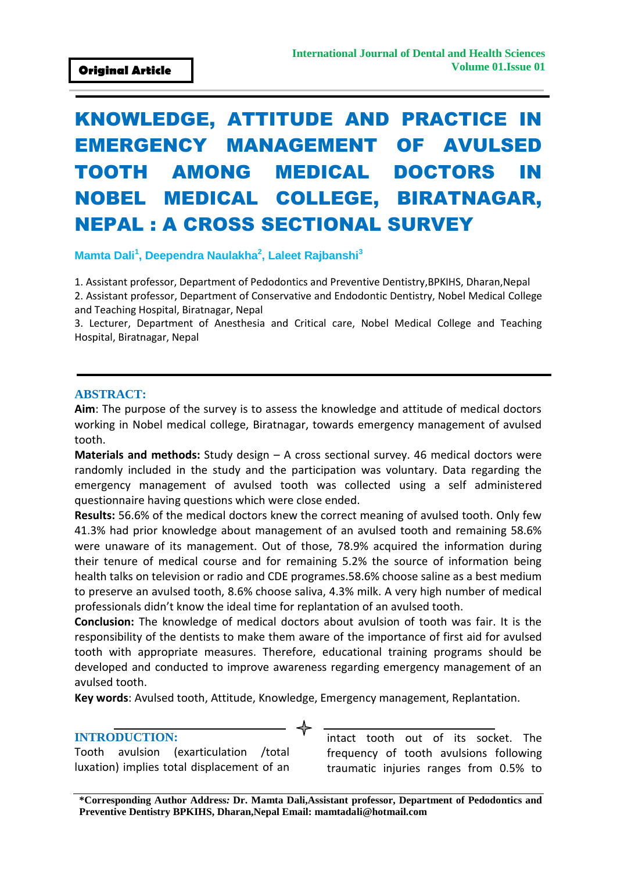# KNOWLEDGE, ATTITUDE AND PRACTICE IN EMERGENCY MANAGEMENT OF AVULSED TOOTH AMONG MEDICAL DOCTORS IN NOBEL MEDICAL COLLEGE, BIRATNAGAR, NEPAL : A CROSS SECTIONAL SURVEY

**Mamta Dali<sup>1</sup> , Deependra Naulakha<sup>2</sup> , Laleet Rajbanshi<sup>3</sup>**

1. Assistant professor, Department of Pedodontics and Preventive Dentistry,BPKIHS, Dharan,Nepal 2. Assistant professor, Department of Conservative and Endodontic Dentistry, Nobel Medical College and Teaching Hospital, Biratnagar, Nepal

3. Lecturer, Department of Anesthesia and Critical care, Nobel Medical College and Teaching Hospital, Biratnagar, Nepal

#### **ABSTRACT:**

**Aim**: The purpose of the survey is to assess the knowledge and attitude of medical doctors working in Nobel medical college, Biratnagar, towards emergency management of avulsed tooth.

**Materials and methods:** Study design – A cross sectional survey. 46 medical doctors were randomly included in the study and the participation was voluntary. Data regarding the emergency management of avulsed tooth was collected using a self administered questionnaire having questions which were close ended.

**Results:** 56.6% of the medical doctors knew the correct meaning of avulsed tooth. Only few 41.3% had prior knowledge about management of an avulsed tooth and remaining 58.6% were unaware of its management. Out of those, 78.9% acquired the information during their tenure of medical course and for remaining 5.2% the source of information being health talks on television or radio and CDE programes.58.6% choose saline as a best medium to preserve an avulsed tooth, 8.6% choose saliva, 4.3% milk. A very high number of medical professionals didn't know the ideal time for replantation of an avulsed tooth.

**Conclusion:** The knowledge of medical doctors about avulsion of tooth was fair. It is the responsibility of the dentists to make them aware of the importance of first aid for avulsed tooth with appropriate measures. Therefore, educational training programs should be developed and conducted to improve awareness regarding emergency management of an avulsed tooth.

**Key words**: Avulsed tooth, Attitude, Knowledge, Emergency management, Replantation.

#### **INTRODUCTION:**

Tooth avulsion (exarticulation /total luxation) implies total displacement of an intact tooth out of its socket. The frequency of tooth avulsions following traumatic injuries ranges from 0.5% to

**\*Corresponding Author Address***:* **Dr. Mamta Dali,Assistant professor, Department of Pedodontics and Preventive Dentistry BPKIHS, Dharan,Nepal Email: mamtadali@hotmail.com**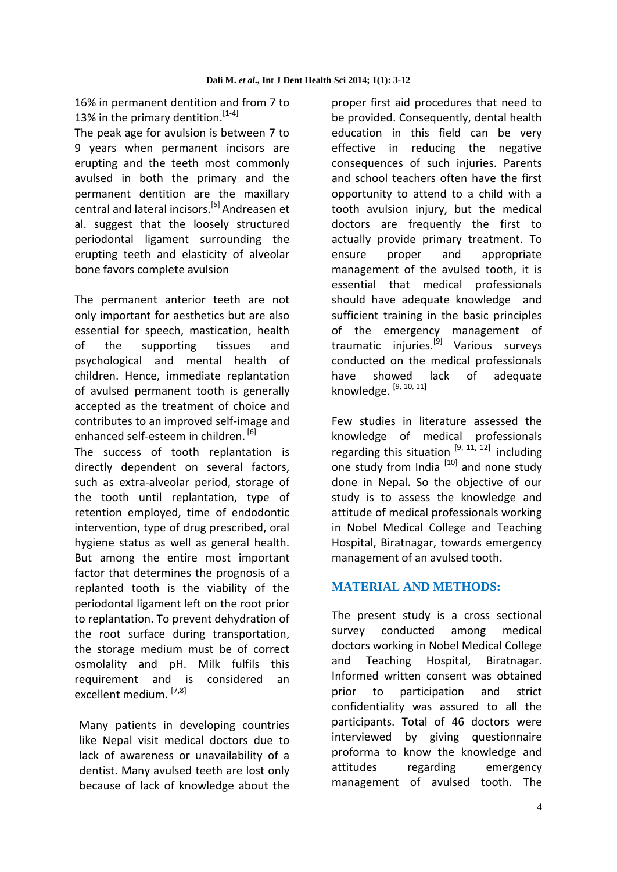16% in permanent dentition and from 7 to 13% in the primary dentition.  $[1-4]$ 

The peak age for avulsion is between 7 to 9 years when permanent incisors are erupting and the teeth most commonly avulsed in both the primary and the permanent dentition are the maxillary central and lateral incisors.[5] Andreasen et al. suggest that the loosely structured periodontal ligament surrounding the erupting teeth and elasticity of alveolar bone favors complete avulsion

The permanent anterior teeth are not only important for aesthetics but are also essential for speech, mastication, health of the supporting tissues and psychological and mental health of children. Hence, immediate replantation of avulsed permanent tooth is generally accepted as the treatment of choice and contributes to an improved self-image and enhanced self-esteem in children.<sup>[6]</sup>

The success of tooth replantation is directly dependent on several factors, such as extra-alveolar period, storage of the tooth until replantation, type of retention employed, time of endodontic intervention, type of drug prescribed, oral hygiene status as well as general health. But among the entire most important factor that determines the prognosis of a replanted tooth is the viability of the periodontal ligament left on the root prior to replantation. To prevent dehydration of the root surface during transportation, the storage medium must be of correct osmolality and pH. Milk fulfils this requirement and is considered an excellent medium. [7,8]

Many patients in developing countries like Nepal visit medical doctors due to lack of awareness or unavailability of a dentist. Many avulsed teeth are lost only because of lack of knowledge about the

proper first aid procedures that need to be provided. Consequently, dental health education in this field can be very effective in reducing the negative consequences of such injuries. Parents and school teachers often have the first opportunity to attend to a child with a tooth avulsion injury, but the medical doctors are frequently the first to actually provide primary treatment. To ensure proper and appropriate management of the avulsed tooth, it is essential that medical professionals should have adequate knowledge and sufficient training in the basic principles of the emergency management of traumatic injuries.[9] Various surveys conducted on the medical professionals have showed lack of adequate knowledge. [9, 10, 11]

Few studies in literature assessed the knowledge of medical professionals regarding this situation  $[9, 11, 12]$  including one study from India  $\left[10\right]$  and none study done in Nepal. So the objective of our study is to assess the knowledge and attitude of medical professionals working in Nobel Medical College and Teaching Hospital, Biratnagar, towards emergency management of an avulsed tooth.

## **MATERIAL AND METHODS:**

The present study is a cross sectional survey conducted among medical doctors working in Nobel Medical College and Teaching Hospital, Biratnagar. Informed written consent was obtained prior to participation and strict confidentiality was assured to all the participants. Total of 46 doctors were interviewed by giving questionnaire proforma to know the knowledge and attitudes regarding emergency management of avulsed tooth. The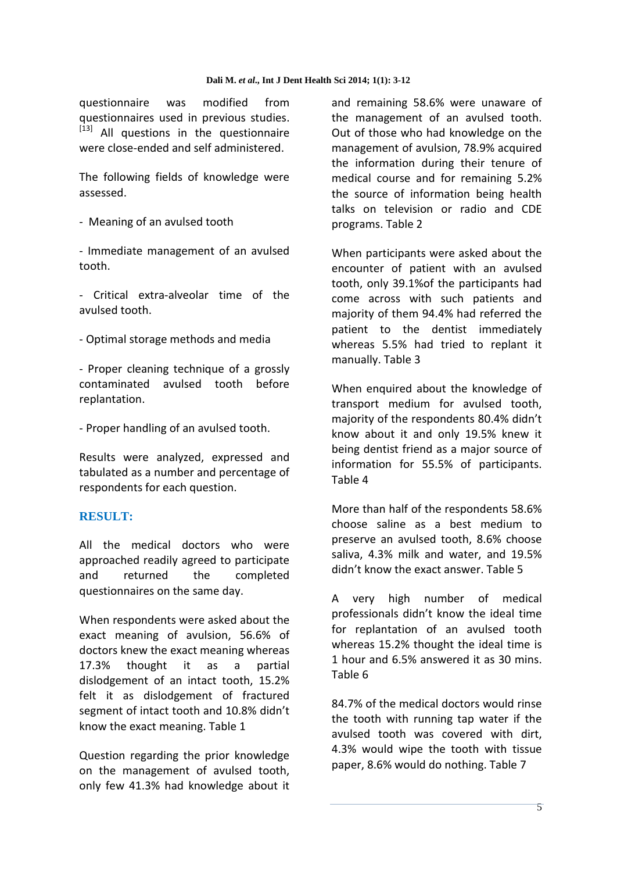questionnaire was modified from questionnaires used in previous studies. [13] All questions in the questionnaire were close-ended and self administered.

The following fields of knowledge were assessed.

- Meaning of an avulsed tooth

- Immediate management of an avulsed tooth.

- Critical extra-alveolar time of the avulsed tooth.

- Optimal storage methods and media

- Proper cleaning technique of a grossly contaminated avulsed tooth before replantation.

- Proper handling of an avulsed tooth.

Results were analyzed, expressed and tabulated as a number and percentage of respondents for each question.

## **RESULT:**

All the medical doctors who were approached readily agreed to participate and returned the completed questionnaires on the same day.

When respondents were asked about the exact meaning of avulsion, 56.6% of doctors knew the exact meaning whereas 17.3% thought it as a partial dislodgement of an intact tooth, 15.2% felt it as dislodgement of fractured segment of intact tooth and 10.8% didn't know the exact meaning. Table 1

Question regarding the prior knowledge on the management of avulsed tooth, only few 41.3% had knowledge about it and remaining 58.6% were unaware of the management of an avulsed tooth. Out of those who had knowledge on the management of avulsion, 78.9% acquired the information during their tenure of medical course and for remaining 5.2% the source of information being health talks on television or radio and CDE programs. Table 2

When participants were asked about the encounter of patient with an avulsed tooth, only 39.1%of the participants had come across with such patients and majority of them 94.4% had referred the patient to the dentist immediately whereas 5.5% had tried to replant it manually. Table 3

When enquired about the knowledge of transport medium for avulsed tooth, majority of the respondents 80.4% didn't know about it and only 19.5% knew it being dentist friend as a major source of information for 55.5% of participants. Table 4

More than half of the respondents 58.6% choose saline as a best medium to preserve an avulsed tooth, 8.6% choose saliva, 4.3% milk and water, and 19.5% didn't know the exact answer. Table 5

A very high number of medical professionals didn't know the ideal time for replantation of an avulsed tooth whereas 15.2% thought the ideal time is 1 hour and 6.5% answered it as 30 mins. Table 6

84.7% of the medical doctors would rinse the tooth with running tap water if the avulsed tooth was covered with dirt, 4.3% would wipe the tooth with tissue paper, 8.6% would do nothing. Table 7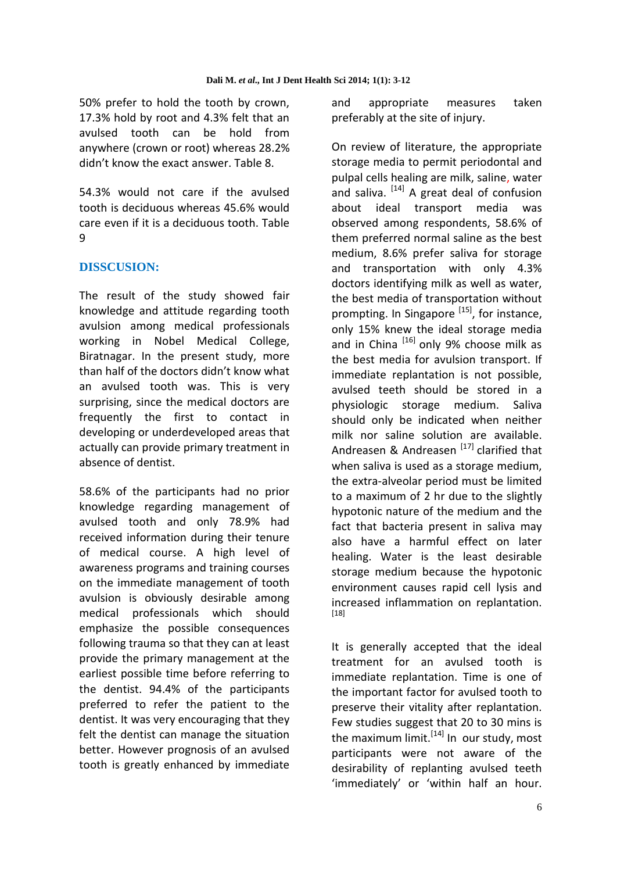50% prefer to hold the tooth by crown, 17.3% hold by root and 4.3% felt that an avulsed tooth can be hold from anywhere (crown or root) whereas 28.2% didn't know the exact answer. Table 8.

54.3% would not care if the avulsed tooth is deciduous whereas 45.6% would care even if it is a deciduous tooth. Table 9

## **DISSCUSION:**

The result of the study showed fair knowledge and attitude regarding tooth avulsion among medical professionals working in Nobel Medical College, Biratnagar. In the present study, more than half of the doctors didn't know what an avulsed tooth was. This is very surprising, since the medical doctors are frequently the first to contact in developing or underdeveloped areas that actually can provide primary treatment in absence of dentist.

58.6% of the participants had no prior knowledge regarding management of avulsed tooth and only 78.9% had received information during their tenure of medical course. A high level of awareness programs and training courses on the immediate management of tooth avulsion is obviously desirable among medical professionals which should emphasize the possible consequences following trauma so that they can at least provide the primary management at the earliest possible time before referring to the dentist. 94.4% of the participants preferred to refer the patient to the dentist. It was very encouraging that they felt the dentist can manage the situation better. However prognosis of an avulsed tooth is greatly enhanced by immediate

and appropriate measures taken preferably at the site of injury.

On review of literature, the appropriate storage media to permit periodontal and pulpal cells healing are milk, saline, water and saliva. <sup>[14]</sup> A great deal of confusion about ideal transport media was observed among respondents, 58.6% of them preferred normal saline as the best medium, 8.6% prefer saliva for storage and transportation with only 4.3% doctors identifying milk as well as water, the best media of transportation without prompting. In Singapore  $^{[15]}$ , for instance, only 15% knew the ideal storage media and in China  $^{[16]}$  only 9% choose milk as the best media for avulsion transport. If immediate replantation is not possible, avulsed teeth should be stored in a physiologic storage medium. Saliva should only be indicated when neither milk nor saline solution are available. Andreasen & Andreasen  $^{[17]}$  clarified that when saliva is used as a storage medium, the extra-alveolar period must be limited to a maximum of 2 hr due to the slightly hypotonic nature of the medium and the fact that bacteria present in saliva may also have a harmful effect on later healing. Water is the least desirable storage medium because the hypotonic environment causes rapid cell lysis and increased inflammation on replantation. [18]

It is generally accepted that the ideal treatment for an avulsed tooth is immediate replantation. Time is one of the important factor for avulsed tooth to preserve their vitality after replantation. Few studies suggest that 20 to 30 mins is the maximum limit.  $[14]$  In our study, most participants were not aware of the desirability of replanting avulsed teeth 'immediately' or 'within half an hour.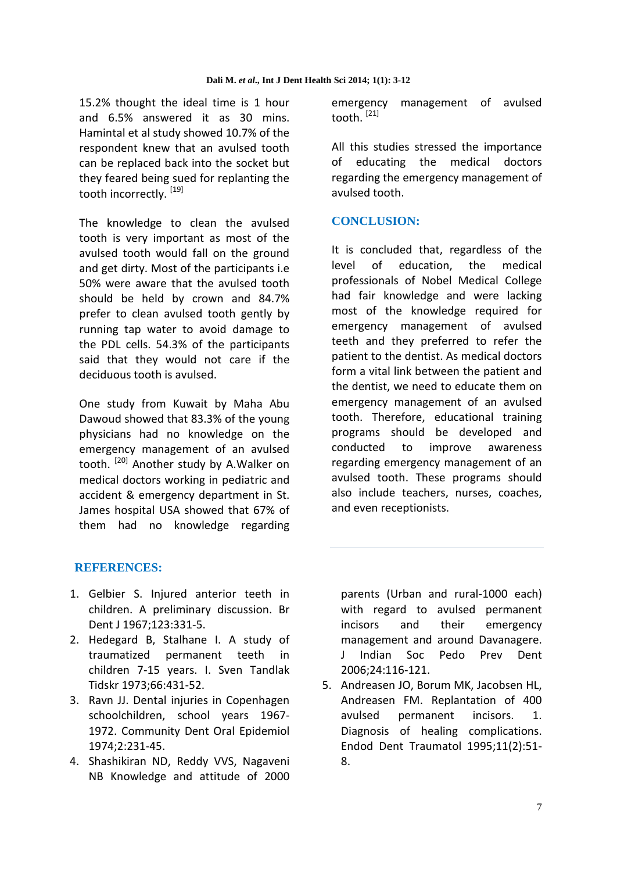15.2% thought the ideal time is 1 hour and 6.5% answered it as 30 mins. Hamintal et al study showed 10.7% of the respondent knew that an avulsed tooth can be replaced back into the socket but they feared being sued for replanting the tooth incorrectly.<sup>[19]</sup>

The knowledge to clean the avulsed tooth is very important as most of the avulsed tooth would fall on the ground and get dirty. Most of the participants i.e 50% were aware that the avulsed tooth should be held by crown and 84.7% prefer to clean avulsed tooth gently by running tap water to avoid damage to the PDL cells. 54.3% of the participants said that they would not care if the deciduous tooth is avulsed.

One study from Kuwait by Maha Abu Dawoud showed that 83.3% of the young physicians had no knowledge on the emergency management of an avulsed tooth. <sup>[20]</sup> Another study by A.Walker on medical doctors working in pediatric and accident & emergency department in St. James hospital USA showed that 67% of them had no knowledge regarding

emergency management of avulsed tooth. <sup>[21]</sup>

All this studies stressed the importance of educating the medical doctors regarding the emergency management of avulsed tooth.

## **CONCLUSION:**

It is concluded that, regardless of the level of education, the medical professionals of Nobel Medical College had fair knowledge and were lacking most of the knowledge required for emergency management of avulsed teeth and they preferred to refer the patient to the dentist. As medical doctors form a vital link between the patient and the dentist, we need to educate them on emergency management of an avulsed tooth. Therefore, educational training programs should be developed and conducted to improve awareness regarding emergency management of an avulsed tooth. These programs should also include teachers, nurses, coaches, and even receptionists.

## **REFERENCES:**

- 1. Gelbier S. Injured anterior teeth in children. A preliminary discussion. Br Dent J 1967;123:331-5.
- 2. Hedegard B, Stalhane I. A study of traumatized permanent teeth in children 7-15 years. I. Sven Tandlak Tidskr 1973;66:431-52.
- 3. Ravn JJ. Dental injuries in Copenhagen schoolchildren, school years 1967- 1972. Community Dent Oral Epidemiol 1974;2:231-45.
- 4. Shashikiran ND, Reddy VVS, Nagaveni NB Knowledge and attitude of 2000

parents (Urban and rural-1000 each) with regard to avulsed permanent incisors and their emergency management and around Davanagere. J Indian Soc Pedo Prev Dent 2006;24:116-121.

5. Andreasen JO, Borum MK, Jacobsen HL, Andreasen FM. Replantation of 400 avulsed permanent incisors. 1. Diagnosis of healing complications. Endod Dent Traumatol 1995;11(2):51- 8.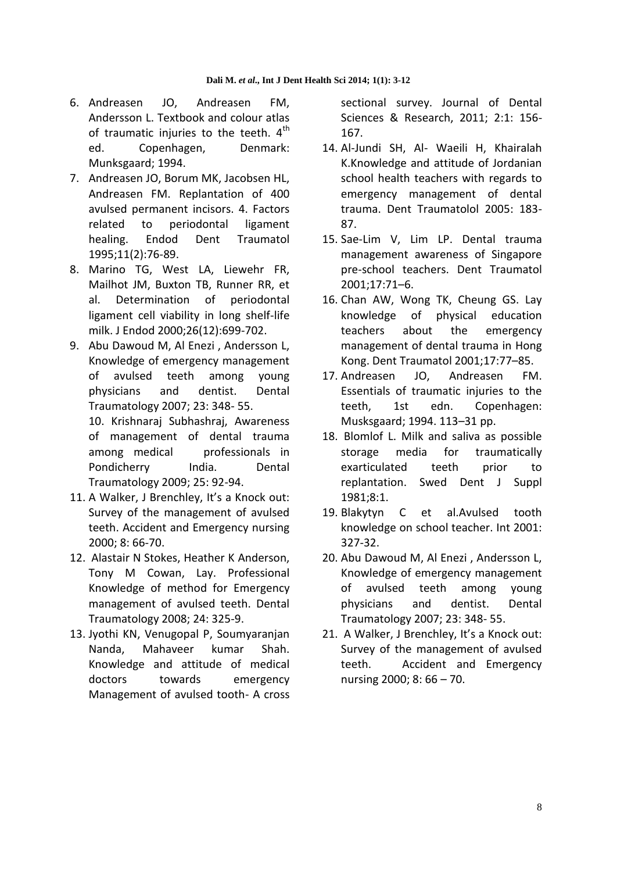- 6. Andreasen JO, Andreasen FM, Andersson L. Textbook and colour atlas of traumatic injuries to the teeth.  $4<sup>th</sup>$ ed. Copenhagen, Denmark: Munksgaard; 1994.
- 7. Andreasen JO, Borum MK, Jacobsen HL, Andreasen FM. Replantation of 400 avulsed permanent incisors. 4. Factors related to periodontal ligament healing. Endod Dent Traumatol 1995;11(2):76-89.
- 8. Marino TG, West LA, Liewehr FR, Mailhot JM, Buxton TB, Runner RR, et al. Determination of periodontal ligament cell viability in long shelf-life milk. J Endod 2000;26(12):699-702.
- 9. Abu Dawoud M, Al Enezi , Andersson L, Knowledge of emergency management of avulsed teeth among young physicians and dentist. Dental Traumatology 2007; 23: 348- 55.

10. Krishnaraj Subhashraj, Awareness of management of dental trauma among medical professionals in Pondicherry India. Dental Traumatology 2009; 25: 92-94.

- 11. A Walker, J Brenchley, It's a Knock out: Survey of the management of avulsed teeth. Accident and Emergency nursing 2000; 8: 66-70.
- 12. Alastair N Stokes, Heather K Anderson, Tony M Cowan, Lay. Professional Knowledge of method for Emergency management of avulsed teeth. Dental Traumatology 2008; 24: 325-9.
- 13. Jyothi KN, Venugopal P, Soumyaranjan Nanda, Mahaveer kumar Shah. Knowledge and attitude of medical doctors towards emergency Management of avulsed tooth- A cross

sectional survey. Journal of Dental Sciences & Research, 2011; 2:1: 156- 167.

- 14. Al-Jundi SH, Al- Waeili H, Khairalah K.Knowledge and attitude of Jordanian school health teachers with regards to emergency management of dental trauma. Dent Traumatolol 2005: 183- 87.
- 15. Sae-Lim V, Lim LP. Dental trauma management awareness of Singapore pre-school teachers. Dent Traumatol 2001;17:71–6.
- 16. Chan AW, Wong TK, Cheung GS. Lay knowledge of physical education teachers about the emergency management of dental trauma in Hong Kong. Dent Traumatol 2001;17:77–85.
- 17. Andreasen JO, Andreasen FM. Essentials of traumatic injuries to the teeth, 1st edn. Copenhagen: Musksgaard; 1994. 113–31 pp.
- 18. Blomlof L. Milk and saliva as possible storage media for traumatically exarticulated teeth prior to replantation. Swed Dent J Suppl 1981;8:1.
- 19. Blakytyn C et al.Avulsed tooth knowledge on school teacher. Int 2001: 327-32.
- 20. Abu Dawoud M, Al Enezi , Andersson L, Knowledge of emergency management of avulsed teeth among young physicians and dentist. Dental Traumatology 2007; 23: 348- 55.
- 21. A Walker, J Brenchley, It's a Knock out: Survey of the management of avulsed teeth. Accident and Emergency nursing 2000; 8: 66 – 70.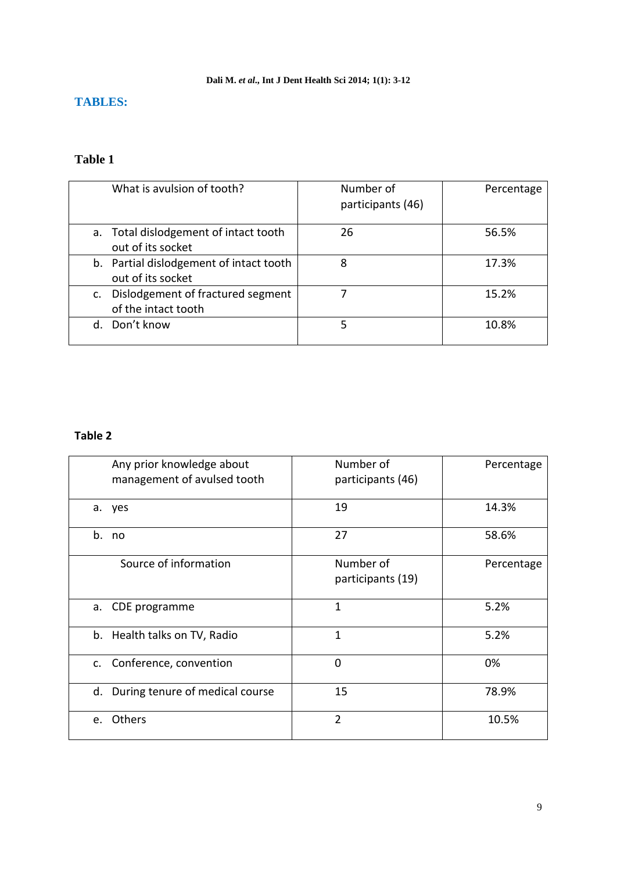#### **Dali M.** *et al***., Int J Dent Health Sci 2014; 1(1): 3-12**

## **TABLES:**

# **Table 1**

| What is avulsion of tooth?                                     | Number of<br>participants (46) | Percentage |
|----------------------------------------------------------------|--------------------------------|------------|
| a. Total dislodgement of intact tooth<br>out of its socket     | 26                             | 56.5%      |
| b. Partial dislodgement of intact tooth<br>out of its socket   | 8                              | 17.3%      |
| Dislodgement of fractured segment<br>C.<br>of the intact tooth |                                | 15.2%      |
| Don't know<br>d.                                               | 5                              | 10.8%      |

| Any prior knowledge about<br>management of avulsed tooth | Number of<br>participants (46) | Percentage |
|----------------------------------------------------------|--------------------------------|------------|
| a. yes                                                   | 19                             | 14.3%      |
| b.<br>no                                                 | 27                             | 58.6%      |
| Source of information                                    | Number of<br>participants (19) | Percentage |
| a. CDE programme                                         | $\mathbf{1}$                   | 5.2%       |
| b. Health talks on TV, Radio                             | 1                              | 5.2%       |
| Conference, convention<br>c.                             | $\Omega$                       | 0%         |
| d. During tenure of medical course                       | 15                             | 78.9%      |
| e. Others                                                | $\overline{2}$                 | 10.5%      |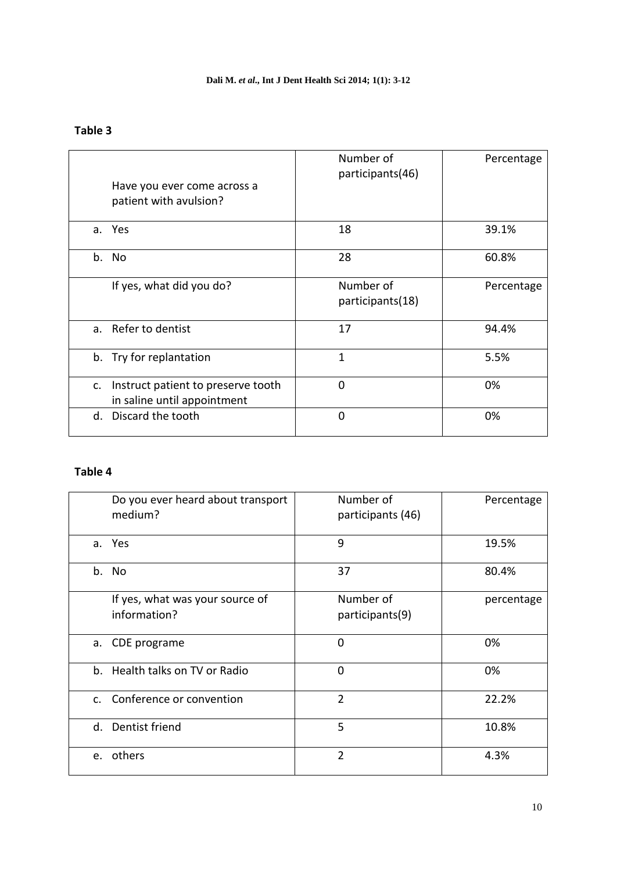#### **Dali M.** *et al***., Int J Dent Health Sci 2014; 1(1): 3-12**

#### **Table 3**

| Have you ever come across a<br>patient with avulsion?                   | Number of<br>participants(46) | Percentage |
|-------------------------------------------------------------------------|-------------------------------|------------|
| a. Yes                                                                  | 18                            | 39.1%      |
| b. No                                                                   | 28                            | 60.8%      |
| If yes, what did you do?                                                | Number of<br>participants(18) | Percentage |
| Refer to dentist<br>a.                                                  | 17                            | 94.4%      |
| b. Try for replantation                                                 | $\mathbf{1}$                  | 5.5%       |
| Instruct patient to preserve tooth<br>c.<br>in saline until appointment | $\overline{0}$                | 0%         |
| Discard the tooth<br>d.                                                 | $\mathbf 0$                   | 0%         |

| Do you ever heard about transport<br>medium?    | Number of<br>participants (46) | Percentage |
|-------------------------------------------------|--------------------------------|------------|
| a. Yes                                          | 9                              | 19.5%      |
| b. No                                           | 37                             | 80.4%      |
| If yes, what was your source of<br>information? | Number of<br>participants(9)   | percentage |
| a. CDE programe                                 | $\mathbf 0$                    | 0%         |
| b. Health talks on TV or Radio                  | $\mathbf 0$                    | 0%         |
| c. Conference or convention                     | $\overline{2}$                 | 22.2%      |
| d. Dentist friend                               | 5                              | 10.8%      |
| e. others                                       | $\overline{2}$                 | 4.3%       |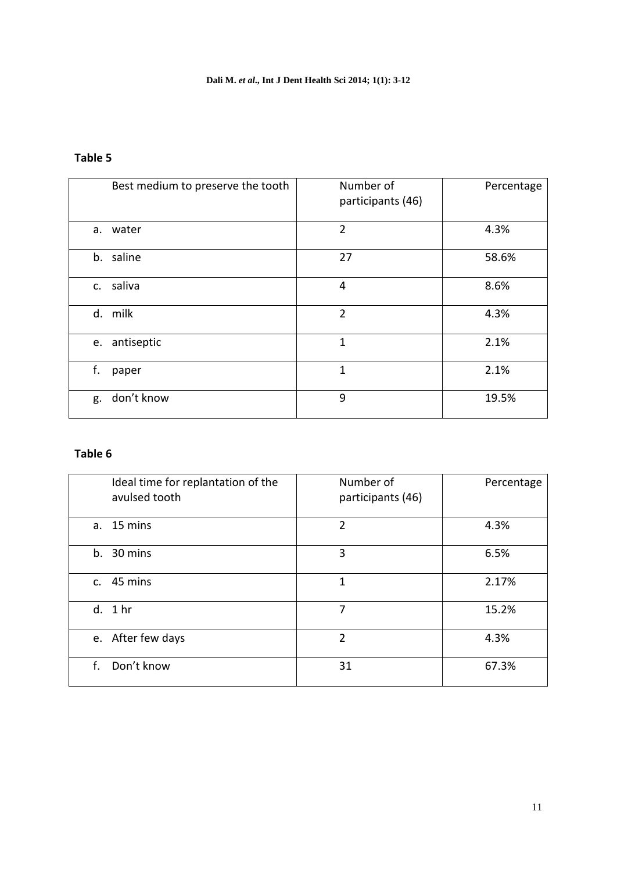# **Table 5**

| Best medium to preserve the tooth | Number of<br>participants (46) | Percentage |
|-----------------------------------|--------------------------------|------------|
| water<br>a.                       | $\overline{2}$                 | 4.3%       |
| b. saline                         | 27                             | 58.6%      |
| saliva<br>C.                      | 4                              | 8.6%       |
| d. milk                           | $\overline{2}$                 | 4.3%       |
| antiseptic<br>e.                  | 1                              | 2.1%       |
| f.<br>paper                       | 1                              | 2.1%       |
| don't know<br>g.                  | 9                              | 19.5%      |

| Ideal time for replantation of the<br>avulsed tooth | Number of<br>participants (46) | Percentage |
|-----------------------------------------------------|--------------------------------|------------|
| a. 15 mins                                          | $\overline{2}$                 | 4.3%       |
| 30 mins<br>b.                                       | 3                              | 6.5%       |
| $c.$ 45 mins                                        | 1                              | 2.17%      |
| d. 1 hr                                             | 7                              | 15.2%      |
| e. After few days                                   | $\overline{2}$                 | 4.3%       |
| Don't know<br>f.                                    | 31                             | 67.3%      |